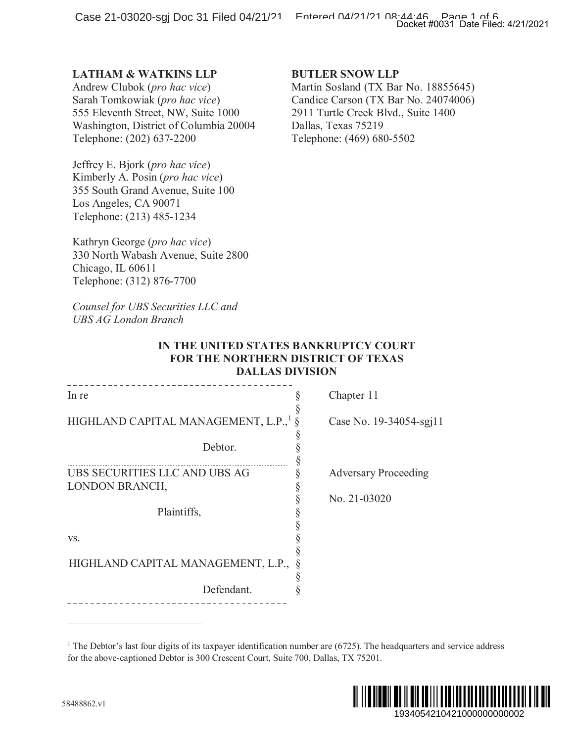# **LATHAM & WATKINS LLP**

### **BUTLER SNOW LLP**

## **IN THE UNITED STATES BANKRUPTCY COURT FOR THE NORTHERN DISTRICT OF TEXAS DALLAS DIVISION**

|                                                                                                                                                                                                                            | Docket #0031 Date Filed: 4/21/2021                                                                                                                                                                |
|----------------------------------------------------------------------------------------------------------------------------------------------------------------------------------------------------------------------------|---------------------------------------------------------------------------------------------------------------------------------------------------------------------------------------------------|
| <b>LATHAM &amp; WATKINS LLP</b><br>Andrew Clubok (pro hac vice)<br>Sarah Tomkowiak (pro hac vice)<br>555 Eleventh Street, NW, Suite 1000<br>Washington, District of Columbia 20004<br>Telephone: (202) 637-2200            | <b>BUTLER SNOW LLP</b><br>Martin Sosland (TX Bar No. 18855645)<br>Candice Carson (TX Bar No. 24074006)<br>2911 Turtle Creek Blvd., Suite 1400<br>Dallas, Texas 75219<br>Telephone: (469) 680-5502 |
| Jeffrey E. Bjork (pro hac vice)<br>Kimberly A. Posin (pro hac vice)<br>355 South Grand Avenue, Suite 100<br>Los Angeles, CA 90071<br>Telephone: (213) 485-1234                                                             |                                                                                                                                                                                                   |
| Kathryn George (pro hac vice)<br>330 North Wabash Avenue, Suite 2800<br>Chicago, IL 60611<br>Telephone: (312) 876-7700                                                                                                     |                                                                                                                                                                                                   |
| Counsel for UBS Securities LLC and<br><b>UBS AG London Branch</b>                                                                                                                                                          |                                                                                                                                                                                                   |
| IN THE UNITED STATES BANKRUPTCY COURT<br>FOR THE NORTHERN DISTRICT OF TEXAS<br><b>DALLAS DIVISION</b>                                                                                                                      |                                                                                                                                                                                                   |
| In re                                                                                                                                                                                                                      | Chapter 11                                                                                                                                                                                        |
| HIGHLAND CAPITAL MANAGEMENT, L.P., <sup>1</sup>                                                                                                                                                                            | Case No. 19-34054-sgj11                                                                                                                                                                           |
| Debtor.                                                                                                                                                                                                                    | §<br>§                                                                                                                                                                                            |
| UBS SECURITIES LLC AND UBS AG<br>LONDON BRANCH,                                                                                                                                                                            | §<br><b>Adversary Proceeding</b><br>§                                                                                                                                                             |
| Plaintiffs,                                                                                                                                                                                                                | §<br>No. 21-03020                                                                                                                                                                                 |
| VS.                                                                                                                                                                                                                        |                                                                                                                                                                                                   |
| HIGHLAND CAPITAL MANAGEMENT, L.P.,                                                                                                                                                                                         |                                                                                                                                                                                                   |
| Defendant.                                                                                                                                                                                                                 |                                                                                                                                                                                                   |
|                                                                                                                                                                                                                            |                                                                                                                                                                                                   |
| <sup>1</sup> The Debtor's last four digits of its taxpayer identification number are $(6725)$ . The headquarters and service address<br>for the above-captioned Debtor is 300 Crescent Court, Suite 700, Dallas, TX 75201. |                                                                                                                                                                                                   |
| 8488862.v1                                                                                                                                                                                                                 | 1934054210421000000000002                                                                                                                                                                         |

<sup>&</sup>lt;sup>1</sup> The Debtor's last four digits of its taxpayer identification number are  $(6725)$ . The headquarters and service address for the above-captioned Debtor is 300 Crescent Court, Suite 700, Dallas, TX 75201.

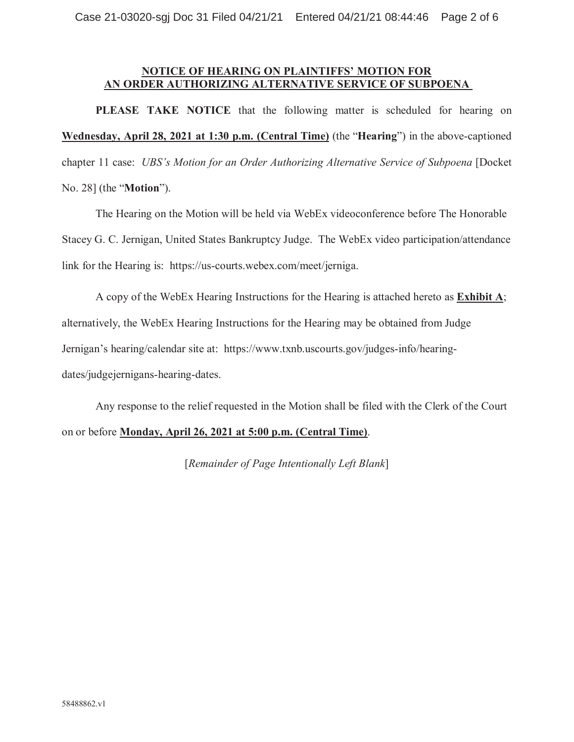# **NOTICE OF HEARING ON PLAINTIFFS' MOTION FOR AN ORDER AUTHORIZING ALTERNATIVE SERVICE OF SUBPOENA**

**PLEASE TAKE NOTICE** that the following matter is scheduled for hearing on **Wednesday, April 28, 2021 at 1:30 p.m. (Central Time)** (the "**Hearing**") in the above-captioned chapter 11 case: *UBS's Motion for an Order Authorizing Alternative Service of Subpoena* [Docket No. 28] (the "**Motion**").

The Hearing on the Motion will be held via WebEx videoconference before The Honorable Stacey G. C. Jernigan, United States Bankruptcy Judge. The WebEx video participation/attendance link for the Hearing is: https://us-courts.webex.com/meet/jerniga.

A copy of the WebEx Hearing Instructions for the Hearing is attached hereto as **Exhibit A**; alternatively, the WebEx Hearing Instructions for the Hearing may be obtained from Judge Jernigan's hearing/calendar site at: https://www.txnb.uscourts.gov/judges-info/hearing-

dates/judgejernigans-hearing-dates.

Any response to the relief requested in the Motion shall be filed with the Clerk of the Court on or before **Monday, April 26, 2021 at 5:00 p.m. (Central Time)**.

[*Remainder of Page Intentionally Left Blank*]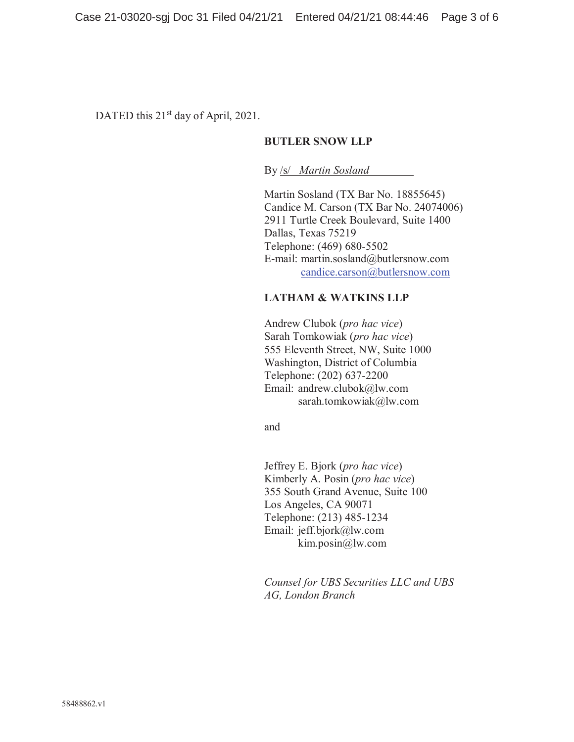DATED this 21<sup>st</sup> day of April, 2021.

## **BUTLER SNOW LLP**

By /s/ *Martin Sosland*

Martin Sosland (TX Bar No. 18855645) Candice M. Carson (TX Bar No. 24074006) 2911 Turtle Creek Boulevard, Suite 1400 Dallas, Texas 75219 Telephone: (469) 680-5502 E-mail: martin.sosland@butlersnow.com candice.carson@butlersnow.com

## **LATHAM & WATKINS LLP**

Andrew Clubok (*pro hac vice*) Sarah Tomkowiak (*pro hac vice*) 555 Eleventh Street, NW, Suite 1000 Washington, District of Columbia Telephone: (202) 637-2200 Email: andrew.clubok@lw.com sarah.tomkowiak@lw.com

and

Jeffrey E. Bjork (*pro hac vice*) Kimberly A. Posin (*pro hac vice*) 355 South Grand Avenue, Suite 100 Los Angeles, CA 90071 Telephone: (213) 485-1234 Email: jeff.bjork@lw.com kim.posin@lw.com

*Counsel for UBS Securities LLC and UBS AG, London Branch*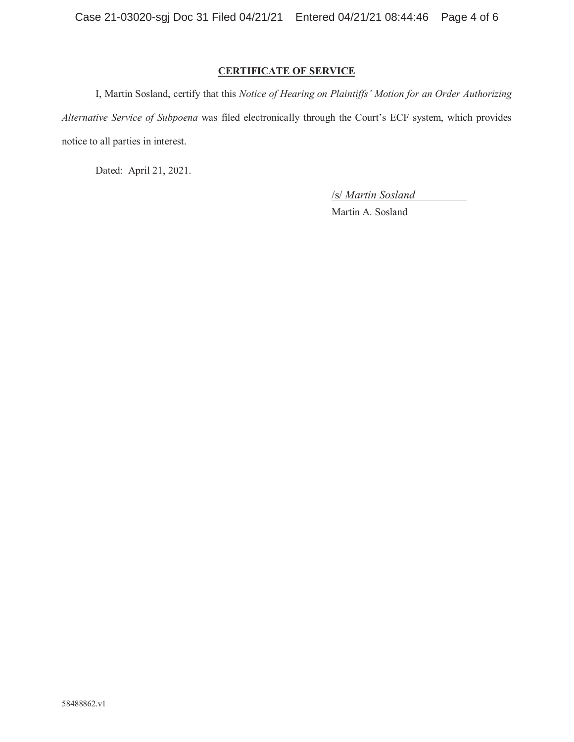## **CERTIFICATE OF SERVICE**

I, Martin Sosland, certify that this *Notice of Hearing on Plaintiffs' Motion for an Order Authorizing Alternative Service of Subpoena* was filed electronically through the Court's ECF system, which provides notice to all parties in interest.

Dated: April 21, 2021.

/s/ *Martin Sosland*

Martin A. Sosland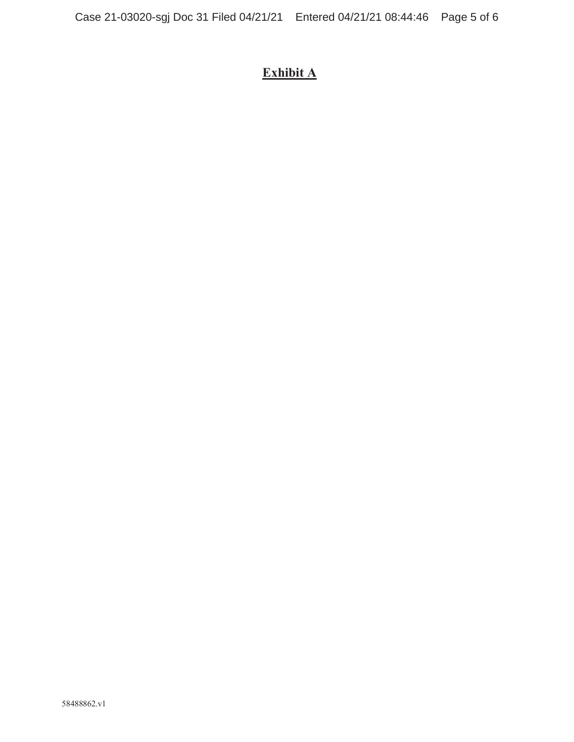# **Exhibit A**